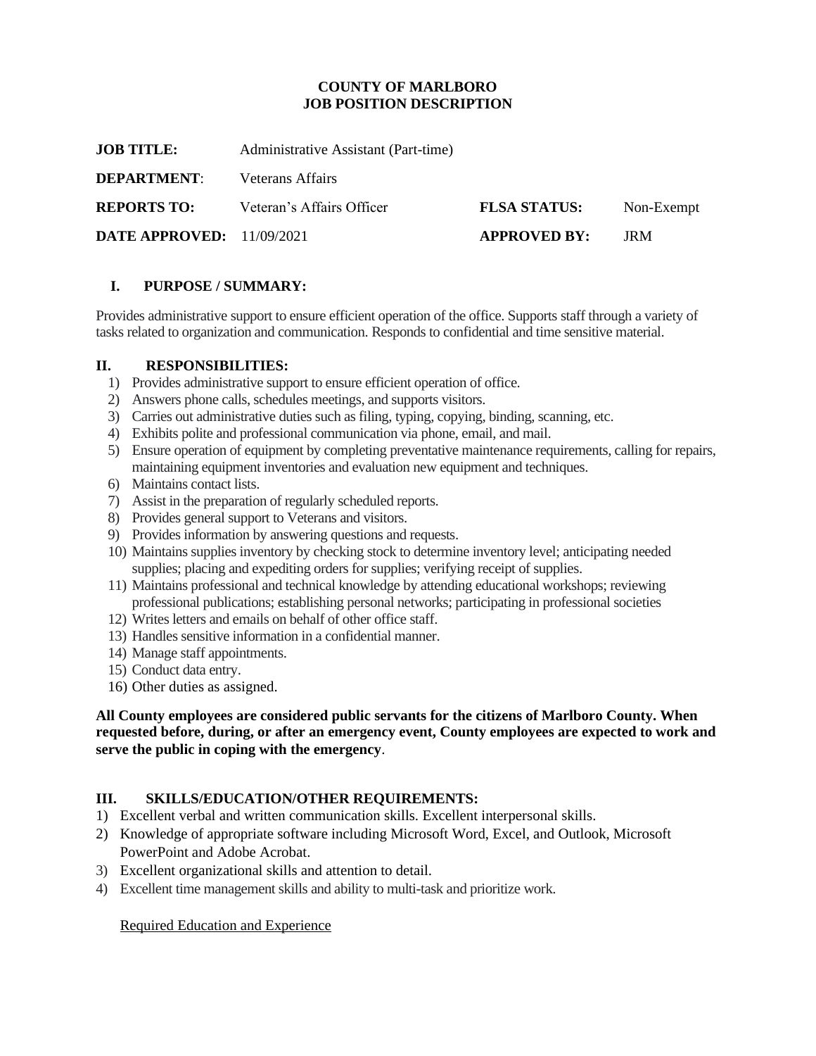### **COUNTY OF MARLBORO JOB POSITION DESCRIPTION**

**JOB TITLE:** Administrative Assistant (Part-time)

**DEPARTMENT**: Veterans Affairs

**REPORTS TO:** Veteran's Affairs Officer **FLSA STATUS:** Non-Exempt

**DATE APPROVED:** 11/09/2021 **APPROVED BY:** JRM

# **I. PURPOSE / SUMMARY:**

Provides administrative support to ensure efficient operation of the office. Supports staff through a variety of tasks related to organization and communication. Responds to confidential and time sensitive material.

#### **II. RESPONSIBILITIES:**

- 1) Provides administrative support to ensure efficient operation of office.
- 2) Answers phone calls, schedules meetings, and supports visitors.
- 3) Carries out administrative duties such as filing, typing, copying, binding, scanning, etc.
- 4) Exhibits polite and professional communication via phone, email, and mail.
- 5) Ensure operation of equipment by completing preventative maintenance requirements, calling for repairs, maintaining equipment inventories and evaluation new equipment and techniques.
- 6) Maintains contact lists.
- 7) Assist in the preparation of regularly scheduled reports.
- 8) Provides general support to Veterans and visitors.
- 9) Provides information by answering questions and requests.
- 10) Maintains supplies inventory by checking stock to determine inventory level; anticipating needed supplies; placing and expediting orders for supplies; verifying receipt of supplies.
- 11) Maintains professional and technical knowledge by attending educational workshops; reviewing professional publications; establishing personal networks; participating in professional societies
- 12) Writes letters and emails on behalf of other office staff.
- 13) Handles sensitive information in a confidential manner.
- 14) Manage staff appointments.
- 15) Conduct data entry.
- 16) Other duties as assigned.

**All County employees are considered public servants for the citizens of Marlboro County. When requested before, during, or after an emergency event, County employees are expected to work and serve the public in coping with the emergency**.

#### **III. SKILLS/EDUCATION/OTHER REQUIREMENTS:**

- 1) Excellent verbal and written communication skills. Excellent interpersonal skills.
- 2) Knowledge of appropriate software including Microsoft Word, Excel, and Outlook, Microsoft PowerPoint and Adobe Acrobat.
- 3) Excellent organizational skills and attention to detail.
- 4) Excellent time management skills and ability to multi-task and prioritize work.

Required Education and Experience